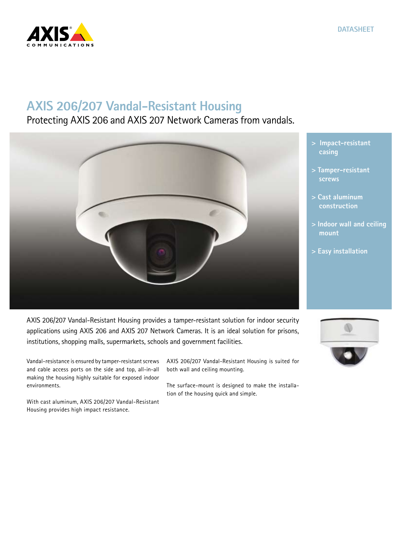

## **AXIS 206/207 Vandal-Resistant Housing**

## Protecting AXIS 206 and AXIS 207 Network Cameras from vandals.



- **> Impact-resistant casing**
- **> Tamper-resistant screws**
- **> Cast aluminum construction**
- **> Indoor wall and ceiling mount**
- **> Easy installation**

AXIS 206/207 Vandal-Resistant Housing provides a tamper-resistant solution for indoor security applications using AXIS 206 and AXIS 207 Network Cameras. It is an ideal solution for prisons, institutions, shopping malls, supermarkets, schools and government facilities.

Vandal-resistance is ensured by tamper-resistant screws and cable access ports on the side and top, all-in-all making the housing highly suitable for exposed indoor environments.

With cast aluminum, AXIS 206/207 Vandal-Resistant Housing provides high impact resistance.

AXIS 206/207 Vandal-Resistant Housing is suited for both wall and ceiling mounting.

The surface-mount is designed to make the installation of the housing quick and simple.